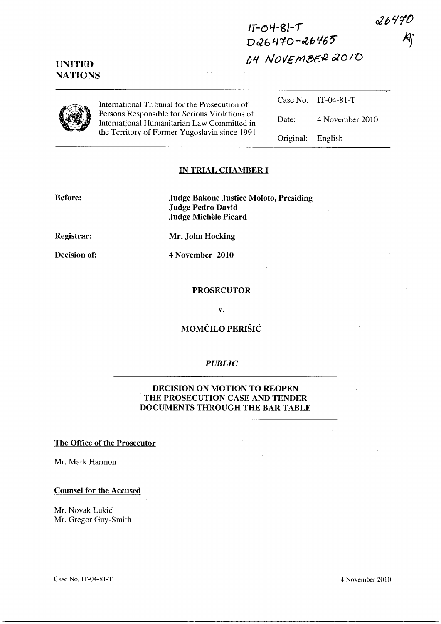2647C

 $I\bar{I}$ -04-81- $\tau$ D26470-26465 ~Jf *NOllE* fYJ,!!)£{2 OlD/O



UNITED **NATIONS** 

> International Tribunal for the Prosecution of Persons Responsible for Serious Violations of International Humanitarian Law Committed in the Territory of Former Yugoslavia since 1991

Case No. IT-04-81-T Date: 4 November 2010

Original: English

### IN TRIAL CHAMBER I

Before: Judge Bakone Justice Moloto, Presiding Judge Pedro David Judge Michèle Picard

Registrar:

Mr. John Hocking

Decision of:

4 November 2010

#### PROSECUTOR

v.

## MOMCILO PERISIC

### *PUBLIC*

## DECISION ON MOTION TO REOPEN THE PROSECUTION CASE AND TENDER DOCUMENTS THROUGH THE BAR TABLE

### The Office of the Prosecutor

Mr. Mark Harmon

#### Counsel for the Accused

Mr. Novak Lukic Mr. Gregor Guy-Smith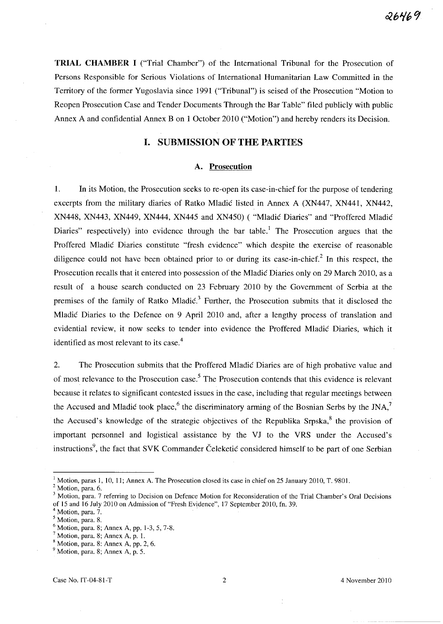**TRIAL CHAMBER I** ("Trial Chamber") of the International Tribunal for the Prosecution of Persons Responsible for Serious Violations of International Humanitarian Law Committed in the Territory of the former Yugoslavia since 1991 ("Tribunal") is seised of the Prosecution "Motion to Reopen Prosecution Case and Tender Documents Through the Bar Table" filed publicly with public Annex A and confidential Annex B on 1 October 2010 ("Motion") and hereby renders its Decision.

# **I. SUBMISSION OF THE PARTIES**

#### **A. Prosecution**

1. **In** its Motion, the Prosecution seeks to re-open its case-in-chief for the purpose of tendering excerpts from the military diaries of Ratko Mladić listed in Annex A (XN447, XN441, XN442, XN448, XN443, XN449 , XN444 , XN445 and XN450) ( "Mladic Diaries" and "Proffered Mladic Diaries" respectively) into evidence through the bar table.<sup>1</sup> The Prosecution argues that the Proffered Mladic Diaries constitute "fresh evidence" which despite the exercise of reasonable diligence could not have been obtained prior to or during its case-in-chief.<sup>2</sup> In this respect, the Prosecution recalls that it entered into possession of the Mladic Diaries only on 29 March 2010, as a result of a house search conducted on 23 February 2010 by the Government of Serbia at the premises of the family of Ratko Mladić.<sup>3</sup> Further, the Prosecution submits that it disclosed the Mladic Diaries to the Defence on 9 April 2010 and, after a lengthy process of translation and evidential review, it now seeks to tender into evidence the Proffered Mladić Diaries, which it identified as most relevant to its case.<sup>4</sup>

2. The Prosecution submits that the Proffered Mladic Diaries are of high probative value and of most relevance to the Prosecution case.<sup>5</sup> The Prosecution contends that this evidence is relevant because it relates to significant contested issues in the case, including that regular meetings between the Accused and Mladic took place,<sup>6</sup> the discriminatory arming of the Bosnian Serbs by the JNA,<sup>7</sup> the Accused's knowledge of the strategic objectives of the Republika Srpska, $8$  the provision of important personnel and logistical assistance by the VJ to the VRS under the Accused's instructions<sup>9</sup>, the fact that SVK Commander Čeleketić considered himself to be part of one Serbian

 $1$  Motion, paras 1, 10, 11; Annex A. The Prosecution closed its case in chief on 25 January 2010, T. 9801.

 $2$  Motion, para. 6.

Motion, para. 7 referring to Decision on Defence Motion for Reconsideration of the Trial Chamber's Oral Decisions of 15 and 16 July 2010 on Admission of "Fresh Evidence", 17 September 2010, fn. 39.

<sup>&</sup>lt;sup>4</sup> Motion, para. 7.

<sup>&</sup>lt;sup>5</sup> Motion, para. 8.

 $6$  Motion, para. 8; Annex A, pp. 1-3, 5, 7-8.

 $<sup>7</sup>$  Motion, para. 8; Annex A, p. 1.</sup>

 $8$  Motion, para. 8: Annex A, pp. 2, 6.

 $<sup>9</sup>$  Motion, para. 8; Annex A, p. 5.</sup>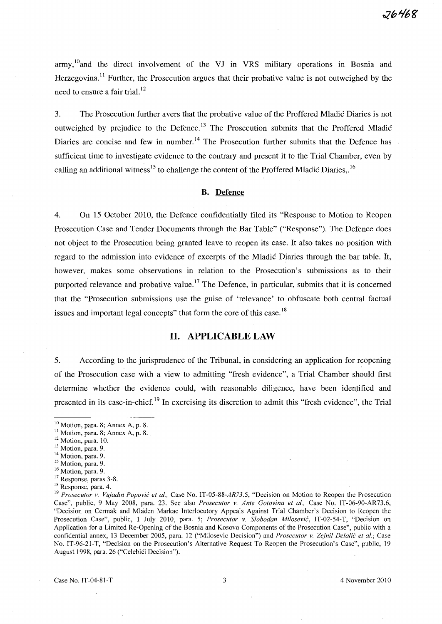army,  $^{10}$  and the direct involvement of the VJ in VRS military operations in Bosnia and Herzegovina.<sup>11</sup> Further, the Prosecution argues that their probative value is not outweighed by the need to ensure a fair trial. $^{12}$ 

3. The Prosecution further avers that the probative value of the Proffered Mladic Diaries is not outweighed by prejudice to the Defence.<sup>13</sup> The Prosecution submits that the Proffered Mladić Diaries are concise and few in number.<sup>14</sup> The Prosecution further submits that the Defence has sufficient time to investigate evidence to the contrary and present it to the Trial Chamber, even by calling an additional witness<sup>15</sup> to challenge the content of the Proffered Mladic Diaries,.<sup>16</sup>

### B. Defence

4. On 15 October 2010, the Defence confidentially filed its "Response to Motion to Reopen Prosecution Case and Tender Documents through the Bar Table" ("Response"). The Defence does not object to the Prosecution being granted leave to reopen its case. It also takes no position with regard to the admission into evidence of excerpts of the Mladic Diaries through the bar table. It, however, makes some observations in relation to the Prosecution's submissions as to their purported relevance and probative value.<sup>17</sup> The Defence, in particular, submits that it is concerned that the "Prosecution submissions use the guise of 'relevance' to obfuscate both central factual issues and important legal concepts" that form the core of this case.<sup>18</sup>

# **H. APPLICABLE LAW**

5. According to the jurisprudence of the Tribunal, in considering an application for reopening of the Prosecution case with a view to admitting "fresh evidence", a Trial Chamber should first determine whether the evidence could, with reasonable diligence, have been identified and presented in its case-in-chief. 19 In exercising its discretion to admit this "fresh evidence", the Trial

 $10$  Motion, para. 8; Annex A, p. 8.

 $11$  Motion, para. 8; Annex A, p. 8.

<sup>&</sup>lt;sup>12</sup> Motion, para. 10.

<sup>&</sup>lt;sup>13</sup> Motion, para. 9.

<sup>&</sup>lt;sup>14</sup> Motion, para. 9.

<sup>&</sup>lt;sup>15</sup> Motion, para. 9.

<sup>&</sup>lt;sup>16</sup> Motion, para. 9.

<sup>&</sup>lt;sup>17</sup> Response, paras 3-8.

<sup>18</sup> Response, para. 4.

<sup>19</sup>*Prosecutor* v. *Vujadin Popovic et al.,* Case No. *IT-05-88-AR73.5,* "Decision on Motion to Reopen the Prosecution Case", public, 9 May 2008, para. 23. See also *Prosecutor* v. *Ante Gotovina et al.,* Case No. IT-06-90-AR73.6, "Decision on Cerrnak and Mladen Markac Interlocutory Appeals Against Trial Chamber's Decision to Reopen the Prosecution Case", public, 1 July 2010, para. 5; *Prosecutor* v. *Slobodan Milosevic,* IT-02-54-T, "Decision on Application for a Limited Re-Opening of the Bosnia and Kosovo Components of the Prosecution Case", public with a confidential annex, 13 December 2005, para. 12 ("Milosevic Decision") and *Prosecutor* v. *Zejnil Delalic et al.;* Case No. IT-96-21-T, "Decision on the Prosecution's Alternative Request To Reopen the Prosecution's Case", public, 19 August 1998, para. 26 ("Celebici Decision").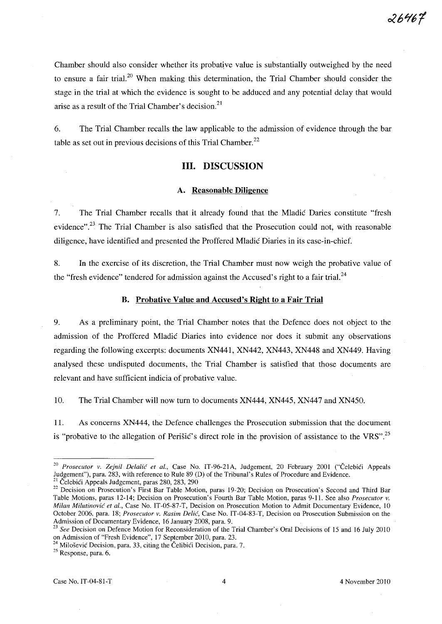Chamber should also consider whether its probative value is substantially outweighed by the need to ensure a fair trial.<sup>20</sup> When making this determination, the Trial Chamber should consider the stage in the trial at which the evidence is sought to be adduced and any potential delay that would arise as a result of the Trial Chamber's decision.<sup>21</sup>

6. The Trial Chamber recalls the law applicable to the admission of evidence through the bar table as set out in previous decisions of this Trial Chamber.<sup>22</sup>

## Ill. DISCUSSION

## A. Reasonable Diligence

7. The Trial Chamber recalls that it already found that the Mladic Daries constitute "fresh evidence".<sup>23</sup> The Trial Chamber is also satisfied that the Prosecution could not, with reasonable diligence, have identified and presented the Proffered Mladic Diaries in its case-in-chief.

8. In the exercise of its discretion, the Trial Chamber must now weigh the probative value of the "fresh evidence" tendered for admission against the Accused's right to a fair trial.<sup>24</sup>

#### B. Probative Value and Accused's Right to a Fair Trial

9. As a preliminary point, the Trial Chamber notes that the Defence does not object to the admission of the Proffered Mladic Diaries into evidence nor does it submit any observations regarding the following excerpts: documents XN441, XN442, XN443, XN448 and XN449. Having analysed these undisputed documents, the Trial Chamber is satisfied that those documents are relevant and have sufficient indicia of probative value.

10. The Trial Chamber will now turn to documents XN444, XN445, XN447 and XN450.

11. As concerns XN444, the Defence challenges the Prosecution submission that the document is "probative to the allegation of Perišić's direct role in the provision of assistance to the VRS".<sup>25</sup>

<sup>&</sup>lt;sup>20</sup> Prosecutor v. Zejnil Delalić et al., Case No. IT-96-21A, Judgement, 20 February 2001 ("Čelebići Appeals Judgement"), para. 283, with reference to Rule 89 (D) of the Tribunal's Rules of Procedure and Evidence.

 $21$  Celebici Appeals Judgement, paras 280, 283, 290

<sup>&</sup>lt;sup>22</sup> Decision on Prosecution's First Bar Table Motion, paras 19-20; Decision on Prosecution's Second and Third Bar Table Motions, paras 12-14; Decision on Prosecution's Fourth Bar Table Motion, paras 9-11. See also *Prosecutor* v. *Milan Milutinovie et al.,* Case No. IT-05-87-T, Decision on Prosecution Motion to Admit Documentary Evidence, 10 October 2006, para. 18; *Prosecutor* v. *Rasim Delie,* Case No. IT-04-83-T, Decision on Prosecution Submission on the Admission of Documentary Evidence, 16 January 2008, para. 9.<br><sup>23</sup> See Docision of Default 1.1 Company 2008, para. 9.

*<sup>23</sup> See* Decision on Defence Motion for Reconsideration of the Trial Chamber's Oral Decisions of 15 and 16 July 2010 on Admission of "Fresh Evidence", 17 September 2010, para. 23.

<sup>&</sup>lt;sup>24</sup> Milošević Decision, para. 33, citing the Čelibići Decision, para. 7.

 $25$  Response, para. 6.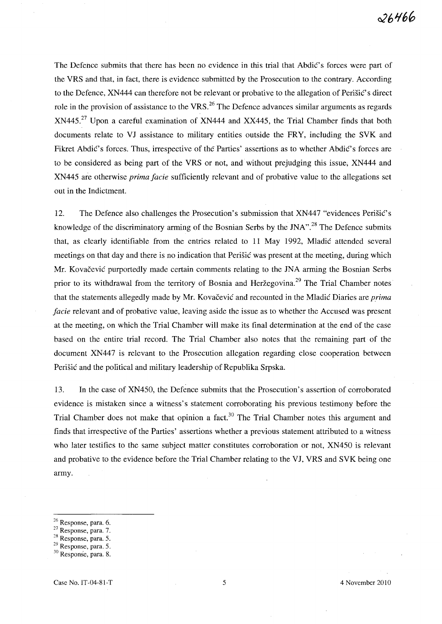The Defence submits that there has been no evidence in this trial that Abdic's forces were part of the VRS and that, in fact, there is evidence submitted by the Prosecution to the contrary. According to the Defence, XN444 can therefore not be relevant or probative to the allegation of Perišić's direct role in the provision of assistance to the VRS.<sup>26</sup> The Defence advances similar arguments as regards XN445.<sup>27</sup> Upon a careful examination of XN444 and XX445, the Trial Chamber finds that both documents relate to VJ assistance to military entities outside the FRY, including the SVK and Fikret Abdic's forces. Thus, irrespective of the Parties' assertions as to whether Abdic's forces are to be considered as being part of the VRS or not, and without prejudging this issue; XN444 and XN445 are otherwise *prima facie* sufficiently relevant and of probative value to the allegations set out in the Indictment.

12. The Defence also challenges the Prosecution's submission that XN447 "evidences Perišić's knowledge of the discriminatory arming of the Bosnian Serbs by the JNA".<sup>28</sup> The Defence submits that, as clearly identifiable from the entries related to 11 May 1992, Mladic attended several meetings on that day and there is no indication that Perisic was present at the meeting, during which Mr. Kovačević purportedly made certain comments relating to the JNA arming the Bosnian Serbs prior to its withdrawal from the territory of Bosnia and Heržegovina.<sup>29</sup> The Trial Chamber notes that the statements allegedly made by Mr. Kovačević and recounted in the Mladić Diaries are *prima facie* relevant and of probative value, leaving aside the issue as to whether the Accused was present at the meeting, on which the Trial Chamber will make its final determination at the end of the case based on the entire trial record. The Trial Chamber also notes that the remaining part of the document XN447 is relevant to the Prosecution allegation regarding close cooperation between Perisic and the political and military leadership of Republika Srpska.

l3. In the case of XN450, the Defence submits that the Prosecution's assertion of corroborated evidence is mistaken since a witness's statement corroborating his previous testimony before the Trial Chamber does not make that opinion a fact.<sup>30</sup> The Trial Chamber notes this argument and finds that irrespective of the Parties' assertions whether a previous statement attributed to a witness who later testifies to the same subject matter constitutes corroboration or not, XN450 is relevant and probative to the evidence before the Trial Chamber relating to the VJ, VRS and SVK being one army.

28 Response, para. 5.

<sup>26</sup> Response, para. 6.

<sup>27</sup> Response, para. 7.

<sup>&</sup>lt;sup>29</sup> Response, para. 5.

<sup>30</sup> Response, para. S.